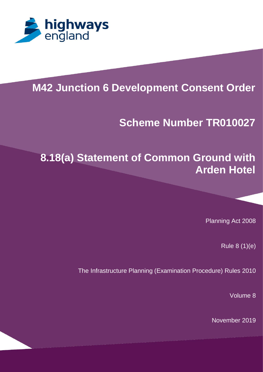

# **M42 Junction 6 Development Consent Order**

# **Scheme Number TR010027**

# **8.18(a) Statement of Common Ground with Arden Hotel**

Planning Act 2008

Rule 8 (1)(e)

The Infrastructure Planning (Examination Procedure) Rules 2010

Volume 8

November 2019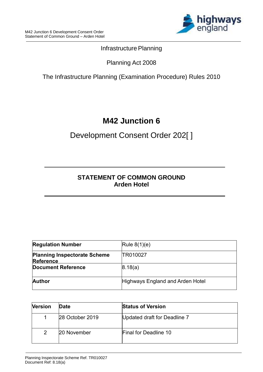

### Infrastructure Planning

### Planning Act 2008

### The Infrastructure Planning (Examination Procedure) Rules 2010

# **M42 Junction 6**

## Development Consent Order 202[ ]

### **STATEMENT OF COMMON GROUND Arden Hotel**

| <b>Regulation Number</b>                                | Rule $8(1)(e)$                   |
|---------------------------------------------------------|----------------------------------|
| <b>Planning Inspectorate Scheme</b><br><b>Reference</b> | TR010027                         |
| <b>Document Reference</b>                               | 8.18(a)                          |
| <b>Author</b>                                           | Highways England and Arden Hotel |

| <b>Version</b> | Date            | <b>Status of Version</b>     |
|----------------|-----------------|------------------------------|
|                | 28 October 2019 | Updated draft for Deadline 7 |
|                | 20 November     | <b>Final for Deadline 10</b> |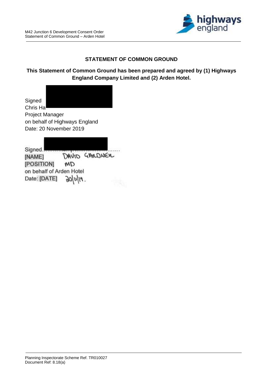

#### **STATEMENT OF COMMON GROUND**

#### **This Statement of Common Ground has been prepared and agreed by (1) Highways England Company Limited and (2) Arden Hotel.**

**Signed** Chris Ha Project Manager on behalf of Highways England Date: 20 November 2019

Signed. DAVID GAMDNER [NAME] [POSITION] **CM** on behalf of Arden Hotel Date: [DATE] **NOP**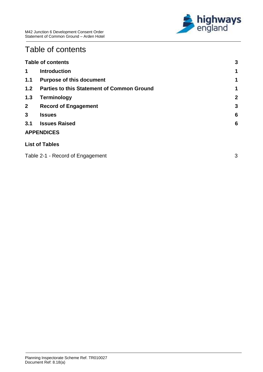

# <span id="page-3-0"></span>Table of contents

|                | <b>Table of contents</b>                          | 3                |
|----------------|---------------------------------------------------|------------------|
| 1              | <b>Introduction</b>                               | 1                |
| 1.1            | <b>Purpose of this document</b>                   | 1                |
| 1.2            | <b>Parties to this Statement of Common Ground</b> | 1                |
| 1.3            | <b>Terminology</b>                                | $\boldsymbol{2}$ |
| 2 <sup>1</sup> | <b>Record of Engagement</b>                       | 3                |
| 3              | <b>Issues</b>                                     | 6                |
| 3.1            | <b>Issues Raised</b>                              | 6                |
|                | <b>APPENDICES</b>                                 |                  |
|                | <b>List of Tables</b>                             |                  |
|                | Table 2-1 - Record of Engagement                  | 3                |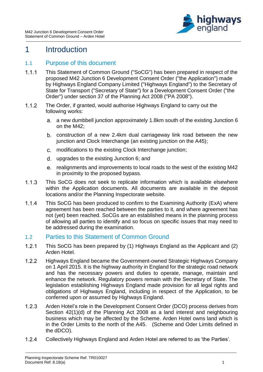

### <span id="page-4-0"></span>1 Introduction

#### <span id="page-4-1"></span>1.1 Purpose of this document

- $1.1.1$ This Statement of Common Ground ("SoCG") has been prepared in respect of the proposed M42 Junction 6 Development Consent Order ("the Application") made by Highways England Company Limited ("Highways England") to the Secretary of State for Transport ("Secretary of State") for a Development Consent Order ("the Order") under section 37 of the Planning Act 2008 ("PA 2008").
- $1.1.2$ The Order, if granted, would authorise Highways England to carry out the following works:
	- a. a new dumbbell junction approximately 1.8km south of the existing Junction 6 on the M42;
	- construction of a new 2.4km dual carriageway link road between the new junction and Clock Interchange (an existing junction on the A45);
	- modifications to the existing Clock Interchange junction;
	- upgrades to the existing Junction 6; and
	- e. realignments and improvements to local roads to the west of the existing M42 in proximity to the proposed bypass.
- $1.1.3$ This SoCG does not seek to replicate information which is available elsewhere within the Application documents. All documents are available in the deposit locations and/or the Planning Inspectorate website.
- $1.1.4$ This SoCG has been produced to confirm to the Examining Authority (ExA) where agreement has been reached between the parties to it, and where agreement has not (yet) been reached. SoCGs are an established means in the planning process of allowing all parties to identify and so focus on specific issues that may need to be addressed during the examination.

#### <span id="page-4-2"></span>1.2 Parties to this Statement of Common Ground

- $1.2.1$ This SoCG has been prepared by (1) Highways England as the Applicant and (2) Arden Hotel.
- $1.2.2$ Highways England became the Government-owned Strategic Highways Company on 1 April 2015. It is the highway authority in England for the strategic road network and has the necessary powers and duties to operate, manage, maintain and enhance the network. Regulatory powers remain with the Secretary of State. The legislation establishing Highways England made provision for all legal rights and obligations of Highways England, including in respect of the Application, to be conferred upon or assumed by Highways England.
- $1.2.3$ Arden Hotel's role in the Development Consent Order (DCO) process derives from Section 42(1)(d) of the Planning Act 2008 as a land interest and neighbouring business which may be affected by the Scheme. Arden Hotel owns land which is in the Order Limits to the north of the A45. (Scheme and Oder Limits defined in the dDCO).
- $1.2.4$ Collectively Highways England and Arden Hotel are referred to as 'the Parties'.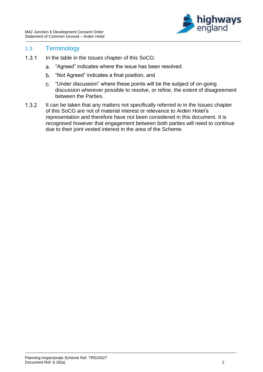

#### <span id="page-5-0"></span>1.3 Terminology

- $1.3.1$ In the table in the Issues chapter of this SoCG:
	- a. "Agreed" indicates where the issue has been resolved.
	- "Not Agreed" indicates a final position, and
	- "Under discussion" where these points will be the subject of on-going discussion wherever possible to resolve, or refine, the extent of disagreement between the Parties.
- $1.3.2$ It can be taken that any matters not specifically referred to in the Issues chapter of this SoCG are not of material interest or relevance to Arden Hotel's representation and therefore have not been considered in this document. It is recognised however that engagement between both parties will need to continue due to their joint vested interest in the area of the Scheme.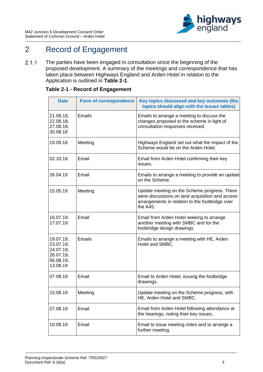

## <span id="page-6-0"></span>2 Record of Engagement

 $2.1.1$ The parties have been engaged in consultation since the beginning of the proposed development. A summary of the meetings and correspondence that has taken place between Highways England and Arden Hotel in relation to the Application is outlined in **Table 2-1**.

| <b>Date</b>                                                               | Form of correspondence | Key topics discussed and key outcomes (the<br>topics should align with the Issues tables)                                                                      |
|---------------------------------------------------------------------------|------------------------|----------------------------------------------------------------------------------------------------------------------------------------------------------------|
| 21.08.18,<br>22.08.18,<br>27.08.18,<br>30.08.18                           | <b>Emails</b>          | Emails to arrange a meeting to discuss the<br>changes proposed to the scheme in light of<br>consultation responses received.                                   |
| 19.09.18                                                                  | Meeting                | Highways England set out what the impact of the<br>Scheme would be on the Arden Hotel.                                                                         |
| 02.10.18                                                                  | Email                  | Email from Arden Hotel confirming their key<br>issues.                                                                                                         |
| 26.04.19                                                                  | Email                  | Emails to arrange a meeting to provide an update<br>on the Scheme.                                                                                             |
| 15.05.19                                                                  | Meeting                | Update meeting on the Scheme progress. There<br>were discussions on land acquisition and access<br>arrangements in relation to the footbridge over<br>the A45. |
| 16.07.19,<br>17.07.19                                                     | Email                  | Email from Arden Hotel seeking to arrange<br>another meeting with SMBC and for the<br>footbridge design drawings.                                              |
| 19.07.19,<br>23.07.19,<br>24.07.19,<br>26.07.19,<br>06.08.19,<br>13.08.19 | Emails                 | Emails to arrange a meeting with HE, Arden<br>Hotel and SMBC.                                                                                                  |
| 07.08.19                                                                  | Email                  | Email to Arden Hotel, issuing the footbridge<br>drawings.                                                                                                      |
| 15.08.19                                                                  | Meeting                | Update meeting on the Scheme progress, with<br>HE, Arden Hotel and SMBC.                                                                                       |
| 27.08.19                                                                  | Email                  | Email from Arden Hotel following attendance at<br>the hearings, noting their key issues.                                                                       |
| 10.09.19                                                                  | Email                  | Email to issue meeting notes and to arrange a<br>further meeting.                                                                                              |

#### <span id="page-6-1"></span>**Table 2-1 - Record of Engagement**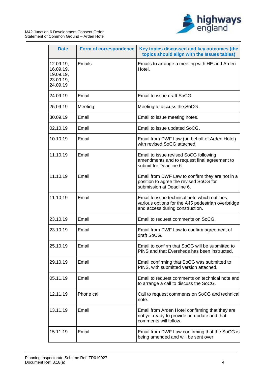

| <b>Date</b>                                                  | Form of correspondence | Key topics discussed and key outcomes (the<br>topics should align with the Issues tables)                                            |
|--------------------------------------------------------------|------------------------|--------------------------------------------------------------------------------------------------------------------------------------|
| 12.09.19,<br>16.09.19,<br>19.09.19,<br>23.09.19,<br>24.09.19 | <b>Emails</b>          | Emails to arrange a meeting with HE and Arden<br>Hotel.                                                                              |
| 24.09.19                                                     | Email                  | Email to issue draft SoCG.                                                                                                           |
| 25.09.19                                                     | Meeting                | Meeting to discuss the SoCG.                                                                                                         |
| 30.09.19                                                     | Email                  | Email to issue meeting notes.                                                                                                        |
| 02.10.19                                                     | Email                  | Email to issue updated SoCG.                                                                                                         |
| 10.10.19                                                     | Email                  | Email from DWF Law (on behalf of Arden Hotel)<br>with revised SoCG attached.                                                         |
| 11.10.19                                                     | Email                  | Email to issue revised SoCG following<br>amendments and to request final agreement to<br>submit for Deadline 6.                      |
| 11.10.19                                                     | Email                  | Email from DWF Law to confirm they are not in a<br>position to agree the revised SoCG for<br>submission at Deadline 6.               |
| 11.10.19                                                     | Email                  | Email to issue technical note which outlines<br>various options for the A45 pedestrian overbridge<br>and access during construction. |
| 23.10.19                                                     | Email                  | Email to request comments on SoCG.                                                                                                   |
| 23.10.19                                                     | Email                  | Email from DWF Law to confirm agreement of<br>draft SoCG.                                                                            |
| 25.10.19                                                     | Email                  | Email to confirm that SoCG will be submitted to<br>PINS and that Eversheds has been instructed.                                      |
| 29.10.19                                                     | Email                  | Email confirming that SoCG was submitted to<br>PINS, with submitted version attached.                                                |
| 05.11.19                                                     | Email                  | Email to request comments on technical note and<br>to arrange a call to discuss the SoCG.                                            |
| 12.11.19                                                     | Phone call             | Call to request comments on SoCG and technical<br>note.                                                                              |
| 13.11.19                                                     | Email                  | Email from Arden Hotel confirming that they are<br>not yet ready to provide an update and that<br>comments will follow.              |
| 15.11.19                                                     | Email                  | Email from DWF Law confirming that the SoCG is<br>being amended and will be sent over.                                               |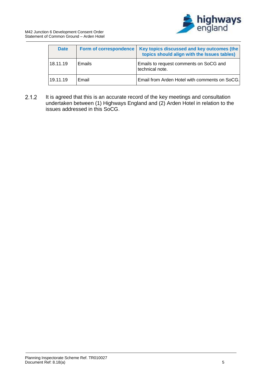

| <b>Date</b> | <b>Form of correspondence</b> | Key topics discussed and key outcomes (the<br>topics should align with the Issues tables) |
|-------------|-------------------------------|-------------------------------------------------------------------------------------------|
| 18.11.19    | <b>Emails</b>                 | Emails to request comments on SoCG and<br>technical note.                                 |
| 19.11.19    | Email                         | Email from Arden Hotel with comments on SoCG.                                             |

 $2.1.2$ It is agreed that this is an accurate record of the key meetings and consultation undertaken between (1) Highways England and (2) Arden Hotel in relation to the issues addressed in this SoCG.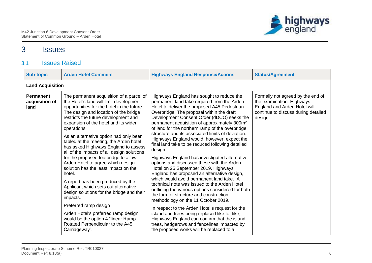

## 3 Issues

### 3.1 Issues Raised

<span id="page-9-1"></span><span id="page-9-0"></span>

| <b>Sub-topic</b>                           | <b>Arden Hotel Comment</b>                                                                                                                                                                                                                                                                                                                                                                                                                                                                                                                                                                                                                                                                                                                                                                                                                                                          | <b>Highways England Response/Actions</b>                                                                                                                                                                                                                                                                                                                                                                                                                                                                                                                                                                                                                                                                                                                                                                                                                                                                                                                                                                                                                                                                                                                                                       | <b>Status/Agreement</b>                                                                                                                          |  |  |  |
|--------------------------------------------|-------------------------------------------------------------------------------------------------------------------------------------------------------------------------------------------------------------------------------------------------------------------------------------------------------------------------------------------------------------------------------------------------------------------------------------------------------------------------------------------------------------------------------------------------------------------------------------------------------------------------------------------------------------------------------------------------------------------------------------------------------------------------------------------------------------------------------------------------------------------------------------|------------------------------------------------------------------------------------------------------------------------------------------------------------------------------------------------------------------------------------------------------------------------------------------------------------------------------------------------------------------------------------------------------------------------------------------------------------------------------------------------------------------------------------------------------------------------------------------------------------------------------------------------------------------------------------------------------------------------------------------------------------------------------------------------------------------------------------------------------------------------------------------------------------------------------------------------------------------------------------------------------------------------------------------------------------------------------------------------------------------------------------------------------------------------------------------------|--------------------------------------------------------------------------------------------------------------------------------------------------|--|--|--|
|                                            | <b>Land Acquisition</b>                                                                                                                                                                                                                                                                                                                                                                                                                                                                                                                                                                                                                                                                                                                                                                                                                                                             |                                                                                                                                                                                                                                                                                                                                                                                                                                                                                                                                                                                                                                                                                                                                                                                                                                                                                                                                                                                                                                                                                                                                                                                                |                                                                                                                                                  |  |  |  |
| <b>Permanent</b><br>acquisition of<br>land | The permanent acquisition of a parcel of<br>the Hotel's land will limit development<br>opportunities for the hotel in the future.<br>The design and location of the bridge<br>restricts the future development and<br>expansion of the hotel and its wider<br>operations.<br>As an alternative option had only been<br>tabled at the meeting, the Arden hotel<br>has asked Highways England to assess<br>all of the impacts of all design solutions<br>for the proposed footbridge to allow<br>Arden Hotel to agree which design<br>solution has the least impact on the<br>hotel.<br>A report has been produced by the<br>Applicant which sets out alternative<br>design solutions for the bridge and their<br>impacts.<br>Preferred ramp design<br>Arden Hotel's preferred ramp design<br>would be the option 4 "linear Ramp<br>Rotated Perpendicular to the A45<br>Carriageway". | Highways England has sought to reduce the<br>permanent land take required from the Arden<br>Hotel to deliver the proposed A45 Pedestrian<br>Overbridge. The proposal within the draft<br>Development Consent Order (dDCO) seeks the<br>permanent acquisition of approximately 300m <sup>2</sup><br>of land for the northern ramp of the overbridge<br>structure and its associated limits of deviation.<br>Highways England would, however, expect the<br>final land take to be reduced following detailed<br>design.<br>Highways England has investigated alternative<br>options and discussed these with the Arden<br>Hotel on 25 September 2019. Highways<br>England has proposed an alternative design,<br>which would avoid permanent land take. A<br>technical note was issued to the Arden Hotel<br>outlining the various options considered for both<br>the form of structure and construction<br>methodology on the 11 October 2019.<br>In respect to the Arden Hotel's request for the<br>island and trees being replaced like for like,<br>Highways England can confirm that the island,<br>trees, hedgerows and fencelines impacted by<br>the proposed works will be replaced to a | Formally not agreed by the end of<br>the examination. Highways<br>England and Arden Hotel will<br>continue to discuss during detailed<br>design. |  |  |  |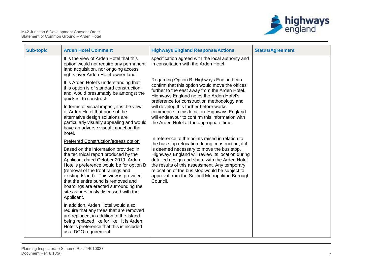

| <b>Sub-topic</b> | <b>Arden Hotel Comment</b>                                                                                                                                                                                                                                                                                                                                                                                                      | <b>Highways England Response/Actions</b>                                                                                                                                                                                                                                                                                                                                                                                    | <b>Status/Agreement</b> |
|------------------|---------------------------------------------------------------------------------------------------------------------------------------------------------------------------------------------------------------------------------------------------------------------------------------------------------------------------------------------------------------------------------------------------------------------------------|-----------------------------------------------------------------------------------------------------------------------------------------------------------------------------------------------------------------------------------------------------------------------------------------------------------------------------------------------------------------------------------------------------------------------------|-------------------------|
|                  | It is the view of Arden Hotel that this<br>option would not require any permanent<br>land acquisition, nor ongoing access<br>rights over Arden Hotel-owner land.                                                                                                                                                                                                                                                                | specification agreed with the local authority and<br>in consultation with the Arden Hotel.                                                                                                                                                                                                                                                                                                                                  |                         |
|                  | It is Arden Hotel's understanding that<br>this option is of standard construction,<br>and, would presumably be amongst the<br>quickest to construct.                                                                                                                                                                                                                                                                            | Regarding Option B, Highways England can<br>confirm that this option would move the offices<br>further to the east away from the Arden Hotel.<br>Highways England notes the Arden Hotel's<br>preference for construction methodology and                                                                                                                                                                                    |                         |
|                  | In terms of visual impact, it is the view<br>of Arden Hotel that none of the<br>alternative design solutions are<br>particularly visually appealing and would<br>have an adverse visual impact on the<br>hotel.                                                                                                                                                                                                                 | will develop this further before works<br>commence in this location. Highways England<br>will endeavour to confirm this information with<br>the Arden Hotel at the appropriate time.                                                                                                                                                                                                                                        |                         |
|                  | Preferred Construction/egress option<br>Based on the information provided in<br>the technical report produced by the<br>Applicant dated October 2019, Arden<br>Hotel's preference would be for option B<br>(removal of the front railings and<br>existing Island). This view is provided<br>that the entire bund is removed and<br>hoardings are erected surrounding the<br>site as previously discussed with the<br>Applicant. | In reference to the points raised in relation to<br>the bus stop relocation during construction, if it<br>is deemed necessary to move the bus stop,<br>Highways England will review its location during<br>detailed design and share with the Arden Hotel<br>the results of this assessment. Any temporary<br>relocation of the bus stop would be subject to<br>approval from the Solihull Metropolitan Borough<br>Council. |                         |
|                  | In addition, Arden Hotel would also<br>require that any trees that are removed<br>are replaced, in addition to the Island<br>being replaced like for like. It is Arden<br>Hotel's preference that this is included<br>as a DCO requirement.                                                                                                                                                                                     |                                                                                                                                                                                                                                                                                                                                                                                                                             |                         |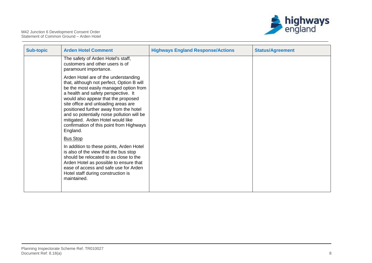

| <b>Sub-topic</b> | <b>Arden Hotel Comment</b>                                                                                                                                                                                                                                                                                                                                                                                                            | <b>Highways England Response/Actions</b> | <b>Status/Agreement</b> |
|------------------|---------------------------------------------------------------------------------------------------------------------------------------------------------------------------------------------------------------------------------------------------------------------------------------------------------------------------------------------------------------------------------------------------------------------------------------|------------------------------------------|-------------------------|
|                  | The safety of Arden Hotel's staff,<br>customers and other users is of<br>paramount importance.                                                                                                                                                                                                                                                                                                                                        |                                          |                         |
|                  | Arden Hotel are of the understanding<br>that, although not perfect, Option B will<br>be the most easily managed option from<br>a health and safety perspective. It<br>would also appear that the proposed<br>site office and unloading areas are<br>positioned further away from the hotel<br>and so potentially noise pollution will be<br>mitigated. Arden Hotel would like<br>confirmation of this point from Highways<br>England. |                                          |                         |
|                  | <b>Bus Stop</b><br>In addition to these points, Arden Hotel<br>is also of the view that the bus stop<br>should be relocated to as close to the<br>Arden Hotel as possible to ensure that<br>ease of access and safe use for Arden<br>Hotel staff during construction is<br>maintained.                                                                                                                                                |                                          |                         |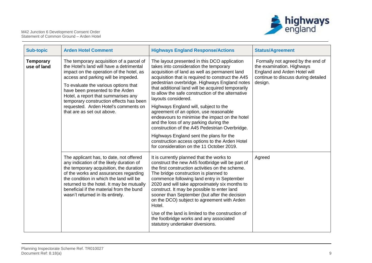

| <b>Sub-topic</b>                | <b>Arden Hotel Comment</b>                                                                                                                                                                                                                                                                                                                                                                                  | <b>Highways England Response/Actions</b>                                                                                                                                                                                                                                                                                                                                                                                                                                                                                                                                                                                                                                                                                                                  | <b>Status/Agreement</b>                                                                                                                          |
|---------------------------------|-------------------------------------------------------------------------------------------------------------------------------------------------------------------------------------------------------------------------------------------------------------------------------------------------------------------------------------------------------------------------------------------------------------|-----------------------------------------------------------------------------------------------------------------------------------------------------------------------------------------------------------------------------------------------------------------------------------------------------------------------------------------------------------------------------------------------------------------------------------------------------------------------------------------------------------------------------------------------------------------------------------------------------------------------------------------------------------------------------------------------------------------------------------------------------------|--------------------------------------------------------------------------------------------------------------------------------------------------|
| <b>Temporary</b><br>use of land | The temporary acquisition of a parcel of<br>the Hotel's land will have a detrimental<br>impact on the operation of the hotel, as<br>access and parking will be impeded.<br>To evaluate the various options that<br>have been presented to the Arden<br>Hotel, a report that summarises any<br>temporary construction effects has been<br>requested. Arden Hotel's comments on<br>that are as set out above. | The layout presented in this DCO application<br>takes into consideration the temporary<br>acquisition of land as well as permanent land<br>acquisition that is required to construct the A45<br>pedestrian overbridge. Highways England notes<br>that additional land will be acquired temporarily<br>to allow the safe construction of the alternative<br>layouts considered.<br>Highways England will, subject to the<br>agreement of an option, use reasonable<br>endeavours to minimise the impact on the hotel<br>and the loss of any parking during the<br>construction of the A45 Pedestrian Overbridge.<br>Highways England sent the plans for the<br>construction access options to the Arden Hotel<br>for consideration on the 11 October 2019. | Formally not agreed by the end of<br>the examination. Highways<br>England and Arden Hotel will<br>continue to discuss during detailed<br>design. |
|                                 | The applicant has, to date, not offered<br>any indication of the likely duration of<br>the temporary acquisition, the duration<br>of the works and assurances regarding<br>the condition in which the land will be<br>returned to the hotel. It may be mutually<br>beneficial if the material from the bund<br>wasn't returned in its entirety.                                                             | It is currently planned that the works to<br>construct the new A45 footbridge will be part of<br>the first construction activities on the scheme.<br>The bridge construction is planned to<br>commence following land entry in September<br>2020 and will take approximately six months to<br>construct. It may be possible to enter land<br>sooner than September (but after the decision<br>on the DCO) subject to agreement with Arden<br>Hotel.<br>Use of the land is limited to the construction of<br>the footbridge works and any associated<br>statutory undertaker diversions.                                                                                                                                                                   | Agreed                                                                                                                                           |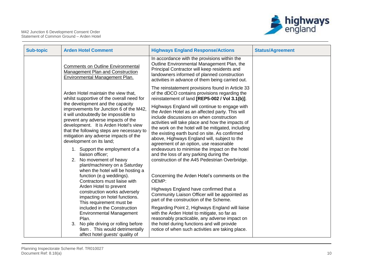

| <b>Sub-topic</b> | <b>Arden Hotel Comment</b>                                                                                                                                                                                                                                                                                                                                                                                                                               | <b>Highways England Response/Actions</b>                                                                                                                                                                                                                                                                                                                                                                                                                                                                                                                                                                    | <b>Status/Agreement</b> |
|------------------|----------------------------------------------------------------------------------------------------------------------------------------------------------------------------------------------------------------------------------------------------------------------------------------------------------------------------------------------------------------------------------------------------------------------------------------------------------|-------------------------------------------------------------------------------------------------------------------------------------------------------------------------------------------------------------------------------------------------------------------------------------------------------------------------------------------------------------------------------------------------------------------------------------------------------------------------------------------------------------------------------------------------------------------------------------------------------------|-------------------------|
|                  | <b>Comments on Outline Environmental</b><br>Management Plan and Construction<br>Environmental Management Plan.                                                                                                                                                                                                                                                                                                                                           | In accordance with the provisions within the<br>Outline Environmental Management Plan, the<br>Principal Contractor will keep residents and<br>landowners informed of planned construction<br>activities in advance of them being carried out.                                                                                                                                                                                                                                                                                                                                                               |                         |
|                  | Arden Hotel maintain the view that,<br>whilst supportive of the overall need for<br>the development and the capacity<br>improvements for Junction 6 of the M42,<br>it will undoubtedly be impossible to<br>prevent any adverse impacts of the<br>development. It is Arden Hotel's view<br>that the following steps are necessary to<br>mitigation any adverse impacts of the<br>development on its land;<br>1. Support the employment of a               | The reinstatement provisions found in Article 33<br>of the dDCO contains provisions regarding the<br>reinstatement of land [REP5-002 / Vol 3.1(b)].<br>Highways England will continue to engage with<br>the Arden Hotel as an affected party. This will<br>include discussions on when construction<br>activities will take place and how the impacts of<br>the work on the hotel will be mitigated, including<br>the existing earth bund on site. As confirmed<br>above, Highways England will, subject to the<br>agreement of an option, use reasonable<br>endeavours to minimise the impact on the hotel |                         |
|                  | liaison officer;<br>2. No movement of heavy<br>plant/machinery on a Saturday<br>when the hotel will be hosting a<br>function (e.g weddings).<br>Contractors must liaise with<br>Arden Hotel to prevent<br>construction works adversely<br>impacting on hotel functions.<br>This requirement must be<br>included in the Construction<br><b>Environmental Management</b><br>Plan.<br>3. No pile driving or rolling before<br>9am. This would detrimentally | and the loss of any parking during the<br>construction of the A45 Pedestrian Overbridge.<br>Concerning the Arden Hotel's comments on the<br>OEMP:<br>Highways England have confirmed that a<br>Community Liaison Officer will be appointed as<br>part of the construction of the Scheme.<br>Regarding Point 2, Highways England will liaise<br>with the Arden Hotel to mitigate, so far as<br>reasonably practicable, any adverse impact on<br>the hotel during functions and will provide<br>notice of when such activities are taking place.                                                              |                         |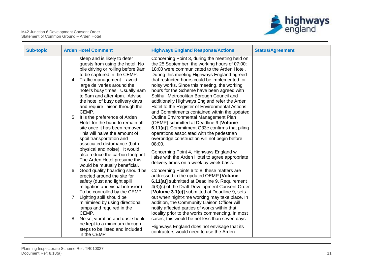

| <b>Sub-topic</b> | <b>Arden Hotel Comment</b>                                                                                                                                                                                                                                                                                                                                                                                                                                                                                                                                                              | <b>Highways England Response/Actions</b>                                                                                                                                                                                                                                                                                                                                                                                                                                                                                                                                                                                                                                                                                                                                         | <b>Status/Agreement</b> |
|------------------|-----------------------------------------------------------------------------------------------------------------------------------------------------------------------------------------------------------------------------------------------------------------------------------------------------------------------------------------------------------------------------------------------------------------------------------------------------------------------------------------------------------------------------------------------------------------------------------------|----------------------------------------------------------------------------------------------------------------------------------------------------------------------------------------------------------------------------------------------------------------------------------------------------------------------------------------------------------------------------------------------------------------------------------------------------------------------------------------------------------------------------------------------------------------------------------------------------------------------------------------------------------------------------------------------------------------------------------------------------------------------------------|-------------------------|
|                  | sleep and is likely to deter<br>guests from using the hotel. No<br>pile driving or rolling before 9am<br>to be captured in the CEMP.<br>Traffic management - avoid<br>4.<br>large deliveries around the<br>hotel's busy times. Usually 8am<br>to 9am and after 4pm. Advise<br>the hotel of busy delivery days<br>and require liaison through the<br>CEMP.<br>5. It is the preference of Arden<br>Hotel for the bund to remain off<br>site once it has been removed.<br>This will halve the amount of<br>spoil transportation and                                                        | Concerning Point 3, during the meeting held on<br>the 25 September, the working hours of 07:00:<br>18:00 were communicated to the Arden Hotel.<br>During this meeting Highways England agreed<br>that restricted hours could be implemented for<br>noisy works. Since this meeting, the working<br>hours for the Scheme have been agreed with<br>Solihull Metropolitan Borough Council and<br>additionally Highways England refer the Arden<br>Hotel to the Register of Environmental Actions<br>and Commitments contained within the updated<br>Outline Environmental Management Plan<br>(OEMP) submitted at Deadline 9 [Volume<br>6.11(a)]. Commitment G33c confirms that piling<br>operations associated with the pedestrian<br>overbridge construction will not begin before |                         |
|                  | associated disturbance (both<br>physical and noise). It would<br>also reduce the carbon footprint.<br>The Arden Hotel presume this<br>would be mutually beneficial.<br>Good quality hoarding should be<br>6.<br>erected around the site for<br>safety (dust and light spill<br>mitigation and visual intrusion).<br>To be controlled by the CEMP.<br>Lighting spill should be<br>7.<br>minimised by using directional<br>lamps and required in the<br>CEMP.<br>Noise, vibration and dust should<br>8.<br>be kept to a minimum through<br>steps to be listed and included<br>in the CEMP | 08:00.<br>Concerning Point 4, Highways England will<br>liaise with the Arden Hotel to agree appropriate<br>delivery times on a week by week basis.<br>Concerning Points 6 to 8, these matters are<br>addressed in the updated OEMP [Volume<br>6.11(a)] submitted at Deadline 9. Requirement<br>4(3)(c) of the Draft Development Consent Order<br>[Volume 3.1(c)] submitted at Deadline 9, sets<br>out when night-time working may take place. In<br>addition, the Community Liaison Officer will<br>notify affected parties of works within that<br>locality prior to the works commencing. In most<br>cases, this would be not less than seven days.<br>Highways England does not envisage that its<br>contractors would need to use the Arden                                  |                         |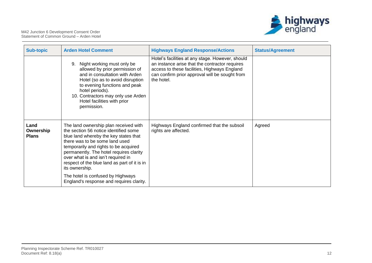

| <b>Sub-topic</b>                  | <b>Arden Hotel Comment</b>                                                                                                                                                                                                                                                                                                                                                                                                             | <b>Highways England Response/Actions</b>                                                                                                                                                                           | <b>Status/Agreement</b> |
|-----------------------------------|----------------------------------------------------------------------------------------------------------------------------------------------------------------------------------------------------------------------------------------------------------------------------------------------------------------------------------------------------------------------------------------------------------------------------------------|--------------------------------------------------------------------------------------------------------------------------------------------------------------------------------------------------------------------|-------------------------|
|                                   | Night working must only be<br>9.<br>allowed by prior permission of<br>and in consultation with Arden<br>Hotel (so as to avoid disruption<br>to evening functions and peak<br>hotel periods).<br>10. Contractors may only use Arden<br>Hotel facilities with prior<br>permission.                                                                                                                                                       | Hotel's facilities at any stage. However, should<br>an instance arise that the contractor requires<br>access to these facilities, Highways England<br>can confirm prior approval will be sought from<br>the hotel. |                         |
| Land<br>Ownership<br><b>Plans</b> | The land ownership plan received with<br>the section 56 notice identified some<br>blue land whereby the key states that<br>there was to be some land used<br>temporarily and rights to be acquired<br>permanently. The hotel requires clarity<br>over what is and isn't required in<br>respect of the blue land as part of it is in<br>its ownership.<br>The hotel is confused by Highways<br>England's response and requires clarity. | Highways England confirmed that the subsoil<br>rights are affected.                                                                                                                                                | Agreed                  |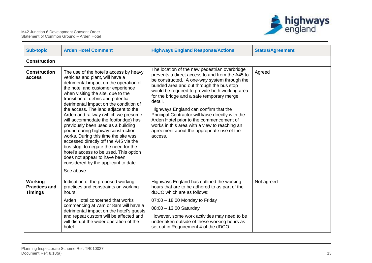



| <b>Sub-topic</b>                                         | <b>Arden Hotel Comment</b>                                                                                                                                                                                                                                                                                                                                                                                                                                                                                                                                                                                                                                                                                                               | <b>Highways England Response/Actions</b>                                                                                                                                                                                                                                                                                                                                                                                                                                                                                                                    | <b>Status/Agreement</b> |  |  |
|----------------------------------------------------------|------------------------------------------------------------------------------------------------------------------------------------------------------------------------------------------------------------------------------------------------------------------------------------------------------------------------------------------------------------------------------------------------------------------------------------------------------------------------------------------------------------------------------------------------------------------------------------------------------------------------------------------------------------------------------------------------------------------------------------------|-------------------------------------------------------------------------------------------------------------------------------------------------------------------------------------------------------------------------------------------------------------------------------------------------------------------------------------------------------------------------------------------------------------------------------------------------------------------------------------------------------------------------------------------------------------|-------------------------|--|--|
| <b>Construction</b>                                      |                                                                                                                                                                                                                                                                                                                                                                                                                                                                                                                                                                                                                                                                                                                                          |                                                                                                                                                                                                                                                                                                                                                                                                                                                                                                                                                             |                         |  |  |
| <b>Construction</b><br>access                            | The use of the hotel's access by heavy<br>vehicles and plant, will have a<br>detrimental impact on the operation of<br>the hotel and customer experience<br>when visiting the site, due to the<br>transition of debris and potential<br>detrimental impact on the condition of<br>the access. The land adjacent to the<br>Arden and railway (which we presume<br>will accommodate the footbridge) has<br>previously been used as a building<br>pound during highway construction<br>works. During this time the site was<br>accessed directly off the A45 via the<br>bus stop, to negate the need for the<br>hotel's access to be used. This option<br>does not appear to have been<br>considered by the applicant to date.<br>See above | The location of the new pedestrian overbridge<br>prevents a direct access to and from the A45 to<br>be constructed. A one-way system through the<br>bunded area and out through the bus stop<br>would be required to provide both working area<br>for the bridge and a safe temporary merge<br>detail.<br>Highways England can confirm that the<br>Principal Contractor will liaise directly with the<br>Arden Hotel prior to the commencement of<br>works in this area with a view to reaching an<br>agreement about the appropriate use of the<br>access. | Agreed                  |  |  |
| <b>Working</b><br><b>Practices and</b><br><b>Timings</b> | Indication of the proposed working<br>practices and constraints on working<br>hours.                                                                                                                                                                                                                                                                                                                                                                                                                                                                                                                                                                                                                                                     | Highways England has outlined the working<br>hours that are to be adhered to as part of the<br>dDCO which are as follows:                                                                                                                                                                                                                                                                                                                                                                                                                                   | Not agreed              |  |  |
|                                                          | Arden Hotel concerned that works<br>commencing at 7am or 8am will have a                                                                                                                                                                                                                                                                                                                                                                                                                                                                                                                                                                                                                                                                 | $07:00 - 18:00$ Monday to Friday                                                                                                                                                                                                                                                                                                                                                                                                                                                                                                                            |                         |  |  |
|                                                          | detrimental impact on the hotel's guests                                                                                                                                                                                                                                                                                                                                                                                                                                                                                                                                                                                                                                                                                                 | 08:00 - 13:00 Saturday                                                                                                                                                                                                                                                                                                                                                                                                                                                                                                                                      |                         |  |  |
|                                                          | and repeat custom will be affected and<br>will disrupt the wider operation of the<br>hotel.                                                                                                                                                                                                                                                                                                                                                                                                                                                                                                                                                                                                                                              | However, some work activities may need to be<br>undertaken outside of these working hours as<br>set out in Requirement 4 of the dDCO.                                                                                                                                                                                                                                                                                                                                                                                                                       |                         |  |  |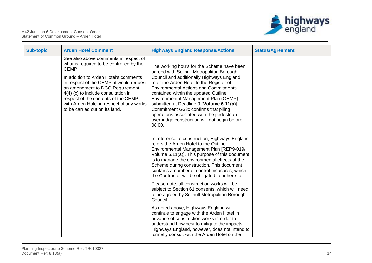

| <b>Sub-topic</b> | <b>Arden Hotel Comment</b>                                                                                                                                                                                                                                                                                                                                                           | <b>Highways England Response/Actions</b>                                                                                                                                                                                                                                                                                                                                                                                                                                                                      | <b>Status/Agreement</b> |
|------------------|--------------------------------------------------------------------------------------------------------------------------------------------------------------------------------------------------------------------------------------------------------------------------------------------------------------------------------------------------------------------------------------|---------------------------------------------------------------------------------------------------------------------------------------------------------------------------------------------------------------------------------------------------------------------------------------------------------------------------------------------------------------------------------------------------------------------------------------------------------------------------------------------------------------|-------------------------|
|                  | See also above comments in respect of<br>what is required to be controlled by the<br><b>CEMP</b><br>In addition to Arden Hotel's comments<br>in respect of the CEMP, it would request<br>an amendment to DCO Requirement<br>4(4) (c) to include consultation in<br>respect of the contents of the CEMP<br>with Arden Hotel in respect of any works<br>to be carried out on its land. | The working hours for the Scheme have been<br>agreed with Solihull Metropolitan Borough<br>Council and additionally Highways England<br>refer the Arden Hotel to the Register of<br><b>Environmental Actions and Commitments</b><br>contained within the updated Outline<br>Environmental Management Plan (OEMP)<br>submitted at Deadline 9 [Volume 6.11(a)].<br>Commitment G33c confirms that piling<br>operations associated with the pedestrian<br>overbridge construction will not begin before<br>08:00. |                         |
|                  |                                                                                                                                                                                                                                                                                                                                                                                      | In reference to construction, Highways England<br>refers the Arden Hotel to the Outline<br>Environmental Management Plan [REP9-019/<br>Volume 6.11(a)]. This purpose of this document<br>is to manage the environmental effects of the<br>Scheme during construction. This document<br>contains a number of control measures, which<br>the Contractor will be obligated to adhere to.                                                                                                                         |                         |
|                  |                                                                                                                                                                                                                                                                                                                                                                                      | Please note, all construction works will be<br>subject to Section 61 consents, which will need<br>to be agreed by Solihull Metropolitan Borough<br>Council.                                                                                                                                                                                                                                                                                                                                                   |                         |
|                  |                                                                                                                                                                                                                                                                                                                                                                                      | As noted above, Highways England will<br>continue to engage with the Arden Hotel in<br>advance of construction works in order to<br>understand how best to mitigate the impacts.<br>Highways England, however, does not intend to<br>formally consult with the Arden Hotel on the                                                                                                                                                                                                                             |                         |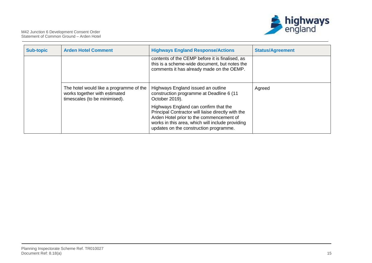

| <b>Sub-topic</b> | <b>Arden Hotel Comment</b>                                                                                | <b>Highways England Response/Actions</b>                                                                                                                                                                                              | <b>Status/Agreement</b> |
|------------------|-----------------------------------------------------------------------------------------------------------|---------------------------------------------------------------------------------------------------------------------------------------------------------------------------------------------------------------------------------------|-------------------------|
|                  |                                                                                                           | contents of the CEMP before it is finalised, as<br>this is a scheme-wide document, but notes the<br>comments it has already made on the OEMP.                                                                                         |                         |
|                  | The hotel would like a programme of the<br>works together with estimated<br>timescales (to be minimised). | Highways England issued an outline<br>construction programme at Deadline 6 (11<br>October 2019).                                                                                                                                      | Agreed                  |
|                  |                                                                                                           | Highways England can confirm that the<br>Principal Contractor will liaise directly with the<br>Arden Hotel prior to the commencement of<br>works in this area, which will include providing<br>updates on the construction programme. |                         |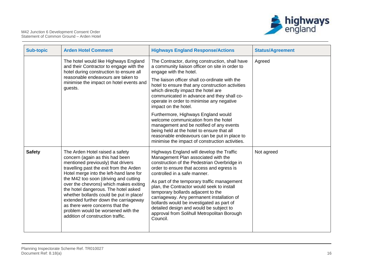

| <b>Sub-topic</b> | <b>Arden Hotel Comment</b>                                                                                                                                                                                                                                                                                                                                                                                                                                                                                                  | <b>Highways England Response/Actions</b>                                                                                                                                                                                                                                                                                                                                                                                                                                                                                                          | <b>Status/Agreement</b> |
|------------------|-----------------------------------------------------------------------------------------------------------------------------------------------------------------------------------------------------------------------------------------------------------------------------------------------------------------------------------------------------------------------------------------------------------------------------------------------------------------------------------------------------------------------------|---------------------------------------------------------------------------------------------------------------------------------------------------------------------------------------------------------------------------------------------------------------------------------------------------------------------------------------------------------------------------------------------------------------------------------------------------------------------------------------------------------------------------------------------------|-------------------------|
|                  | The hotel would like Highways England<br>and their Contractor to engage with the<br>hotel during construction to ensure all<br>reasonable endeavours are taken to<br>minimise the impact on hotel events and<br>guests.                                                                                                                                                                                                                                                                                                     | The Contractor, during construction, shall have<br>a community liaison officer on site in order to<br>engage with the hotel.                                                                                                                                                                                                                                                                                                                                                                                                                      | Agreed                  |
|                  |                                                                                                                                                                                                                                                                                                                                                                                                                                                                                                                             | The liaison officer shall co-ordinate with the<br>hotel to ensure that any construction activities<br>which directly impact the hotel are<br>communicated in advance and they shall co-<br>operate in order to minimise any negative<br>impact on the hotel.                                                                                                                                                                                                                                                                                      |                         |
|                  |                                                                                                                                                                                                                                                                                                                                                                                                                                                                                                                             | Furthermore, Highways England would<br>welcome communication from the hotel<br>management and be notified of any events<br>being held at the hotel to ensure that all<br>reasonable endeavours can be put in place to<br>minimise the impact of construction activities.                                                                                                                                                                                                                                                                          |                         |
| <b>Safety</b>    | The Arden Hotel raised a safety<br>concern (again as this had been<br>mentioned previously) that drivers<br>travelling past the exit from the Arden<br>Hotel merge into the left-hand lane for<br>the M42 too soon (driving and cutting<br>over the chevrons) which makes exiting<br>the hotel dangerous. The hotel asked<br>whether bollards could be put in place/<br>extended further down the carriageway<br>as there were concerns that the<br>problem would be worsened with the<br>addition of construction traffic. | Highways England will develop the Traffic<br>Management Plan associated with the<br>construction of the Pedestrian Overbridge in<br>order to ensure that access and egress is<br>controlled in a safe manner.<br>As part of the temporary traffic management<br>plan, the Contractor would seek to install<br>temporary bollards adjacent to the<br>carriageway. Any permanent installation of<br>bollards would be investigated as part of<br>detailed design and would be subject to<br>approval from Solihull Metropolitan Borough<br>Council. | Not agreed              |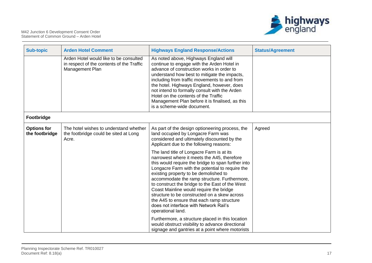

| <b>Sub-topic</b>                     | <b>Arden Hotel Comment</b>                                                                             | <b>Highways England Response/Actions</b>                                                                                                                                                                                                                                                                                                                                                                                                                                                                                                              | <b>Status/Agreement</b> |
|--------------------------------------|--------------------------------------------------------------------------------------------------------|-------------------------------------------------------------------------------------------------------------------------------------------------------------------------------------------------------------------------------------------------------------------------------------------------------------------------------------------------------------------------------------------------------------------------------------------------------------------------------------------------------------------------------------------------------|-------------------------|
|                                      | Arden Hotel would like to be consulted<br>in respect of the contents of the Traffic<br>Management Plan | As noted above, Highways England will<br>continue to engage with the Arden Hotel in<br>advance of construction works in order to<br>understand how best to mitigate the impacts,<br>including from traffic movements to and from<br>the hotel. Highways England, however, does<br>not intend to formally consult with the Arden<br>Hotel on the contents of the Traffic<br>Management Plan before it is finalised, as this<br>is a scheme-wide document.                                                                                              |                         |
| Footbridge                           |                                                                                                        |                                                                                                                                                                                                                                                                                                                                                                                                                                                                                                                                                       |                         |
| <b>Options for</b><br>the footbridge | The hotel wishes to understand whether<br>the footbridge could be sited at Long<br>Acre.               | As part of the design optioneering process, the<br>land occupied by Longacre Farm was<br>considered and ultimately discounted by the<br>Applicant due to the following reasons:                                                                                                                                                                                                                                                                                                                                                                       | Agreed                  |
|                                      |                                                                                                        | The land title of Longacre Farm is at its<br>narrowest where it meets the A45, therefore<br>this would require the bridge to span further into<br>Longacre Farm with the potential to require the<br>existing property to be demolished to<br>accommodate the ramp structure. Furthermore,<br>to construct the bridge to the East of the West<br>Coast Mainline would require the bridge<br>structure to be constructed on a skew across<br>the A45 to ensure that each ramp structure<br>does not interface with Network Rail's<br>operational land. |                         |
|                                      |                                                                                                        | Furthermore, a structure placed in this location<br>would obstruct visibility to advance directional<br>signage and gantries at a point where motorists                                                                                                                                                                                                                                                                                                                                                                                               |                         |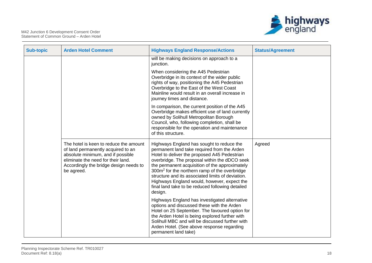

| <b>Sub-topic</b> | <b>Arden Hotel Comment</b>                                                                                                                                                                                      | <b>Highways England Response/Actions</b>                                                                                                                                                                                                                                                                                                                                                                                                                                    | <b>Status/Agreement</b> |
|------------------|-----------------------------------------------------------------------------------------------------------------------------------------------------------------------------------------------------------------|-----------------------------------------------------------------------------------------------------------------------------------------------------------------------------------------------------------------------------------------------------------------------------------------------------------------------------------------------------------------------------------------------------------------------------------------------------------------------------|-------------------------|
|                  |                                                                                                                                                                                                                 | will be making decisions on approach to a<br>junction.                                                                                                                                                                                                                                                                                                                                                                                                                      |                         |
|                  |                                                                                                                                                                                                                 | When considering the A45 Pedestrian<br>Overbridge in its context of the wider public<br>rights of way, positioning the A45 Pedestrian<br>Overbridge to the East of the West Coast<br>Mainline would result in an overall increase in<br>journey times and distance.                                                                                                                                                                                                         |                         |
|                  |                                                                                                                                                                                                                 | In comparison, the current position of the A45<br>Overbridge makes efficient use of land currently<br>owned by Solihull Metropolitan Borough<br>Council, who, following completion, shall be<br>responsible for the operation and maintenance<br>of this structure.                                                                                                                                                                                                         |                         |
|                  | The hotel is keen to reduce the amount<br>of land permanently acquired to an<br>absolute minimum, and if possible<br>eliminate the need for their land.<br>Accordingly the bridge design needs to<br>be agreed. | Highways England has sought to reduce the<br>permanent land take required from the Arden<br>Hotel to deliver the proposed A45 Pedestrian<br>overbridge. The proposal within the dDCO seek<br>the permanent acquisition of the approximately<br>300m <sup>2</sup> for the northern ramp of the overbridge<br>structure and its associated limits of deviation.<br>Highways England would, however, expect the<br>final land take to be reduced following detailed<br>design. | Agreed                  |
|                  |                                                                                                                                                                                                                 | Highways England has investigated alternative<br>options and discussed these with the Arden<br>Hotel on 25 September. The favoured option for<br>the Arden Hotel is being explored further with<br>Solihull MBC and will be discussed further with<br>Arden Hotel. (See above response regarding<br>permanent land take)                                                                                                                                                    |                         |